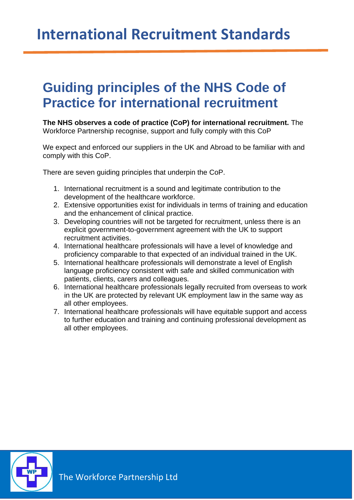## **International Recruitment Standards**

## **Guiding principles of the NHS Code of Practice for international recruitment**

**The NHS observes a code of practice (CoP) for international recruitment.** The Workforce Partnership recognise, support and fully comply with this CoP

We expect and enforced our suppliers in the UK and Abroad to be familiar with and comply with this CoP.

There are seven quiding principles that underpin the CoP.

- 1. International recruitment is a sound and legitimate contribution to the development of the healthcare workforce.
- 2. Extensive opportunities exist for individuals in terms of training and education and the enhancement of clinical practice.
- 3. Developing countries will not be targeted for recruitment, unless there is an explicit government-to-government agreement with the UK to support recruitment activities.
- 4. International healthcare professionals will have a level of knowledge and proficiency comparable to that expected of an individual trained in the UK.
- 5. International healthcare professionals will demonstrate a level of English language proficiency consistent with safe and skilled communication with patients, clients, carers and colleagues.
- 6. International healthcare professionals legally recruited from overseas to work in the UK are protected by relevant UK employment law in the same way as all other employees.
- 7. International healthcare professionals will have equitable support and access to further education and training and continuing professional development as all other employees.